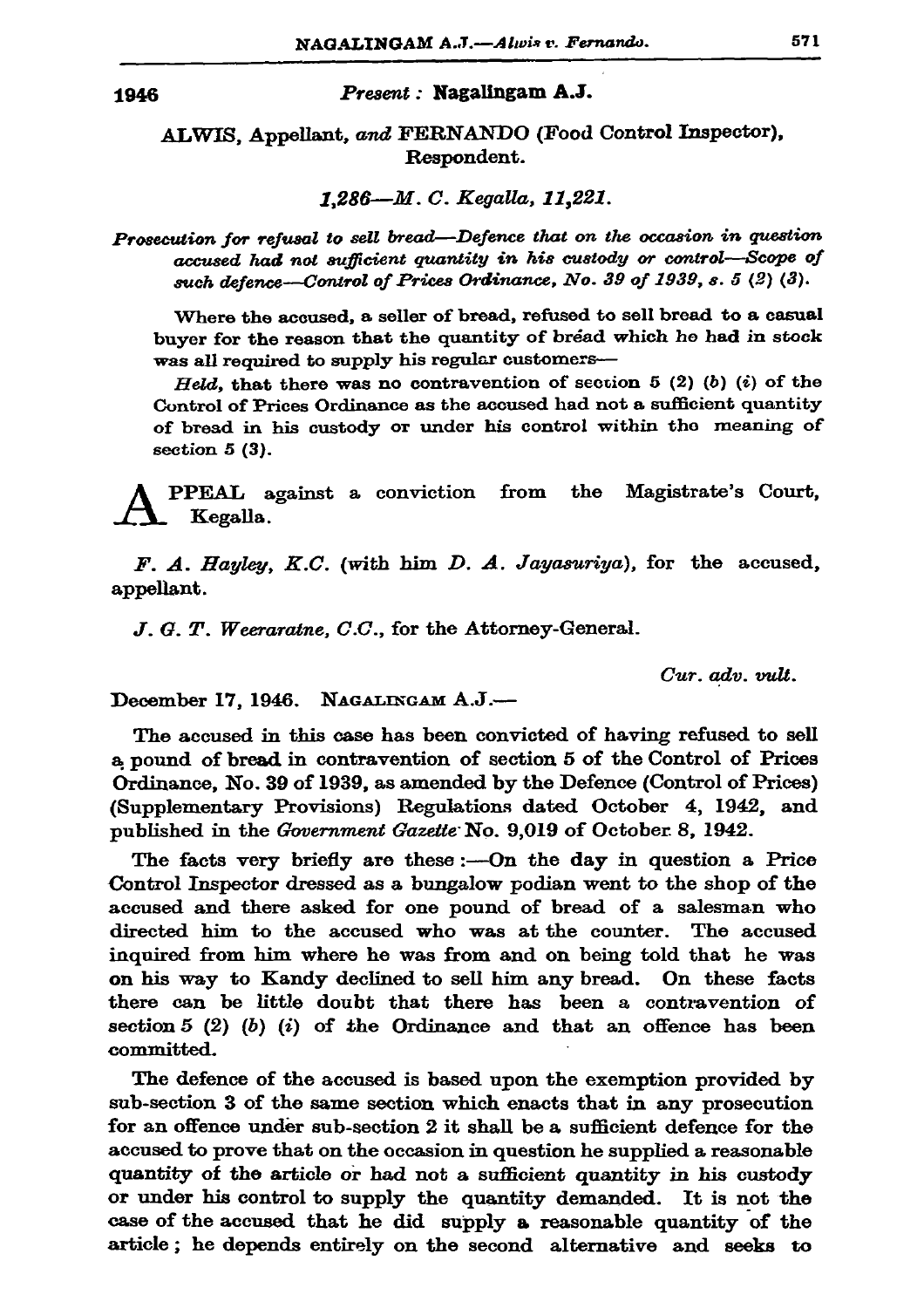1946

## Present: Nagalingam A.J.

ALWIS, Appellant, and FERNANDO (Food Control Inspector), Respondent.

1.286-M.C. Kegalla, 11.221.

Prosecution for refusal to sell bread-Defence that on the occasion in question accused had not sufficient quantity in his custody or control-Scope of such defence-Control of Prices Ordinance, No. 39 of 1939, s. 5 (2) (3).

Where the accused, a seller of bread, refused to sell bread to a casual buyer for the reason that the quantity of bread which he had in stock was all required to supply his regular customers-

Held, that there was no contravention of section 5 (2) (b) (i) of the Control of Prices Ordinance as the accused had not a sufficient quantity of bread in his custody or under his control within the meaning of section  $5(3)$ .

the Magistrate's Court, **PPEAL** against a conviction from Kegalla.

F. A. Hayley, K.C. (with him D. A. Jayasuriya), for the accused, appellant.

J. G. T. Weeraratne, C.C., for the Attorney-General.

Cur. adv. vult.

December 17, 1946. NAGALINGAM A.J.-

The accused in this case has been convicted of having refused to sell a pound of bread in contravention of section 5 of the Control of Prices Ordinance, No. 39 of 1939, as amended by the Defence (Control of Prices) (Supplementary Provisions) Regulations dated October 4, 1942, and published in the Government Gazette No. 9,019 of October 8, 1942.

The facts very briefly are these :- On the day in question a Price Control Inspector dressed as a bungalow podian went to the shop of the accused and there asked for one pound of bread of a salesman who directed him to the accused who was at the counter. The accused inquired from him where he was from and on being told that he was on his way to Kandy declined to sell him any bread. On these facts there can be little doubt that there has been a contravention of section 5  $(2)$   $(b)$   $(i)$  of the Ordinance and that an offence has been committed.

The defence of the accused is based upon the exemption provided by sub-section 3 of the same section which enacts that in any prosecution for an offence under sub-section 2 it shall be a sufficient defence for the accused to prove that on the occasion in question he supplied a reasonable quantity of the article or had not a sufficient quantity in his custody or under his control to supply the quantity demanded. It is not the case of the accused that he did supply a reasonable quantity of the article; he depends entirely on the second alternative and seeks to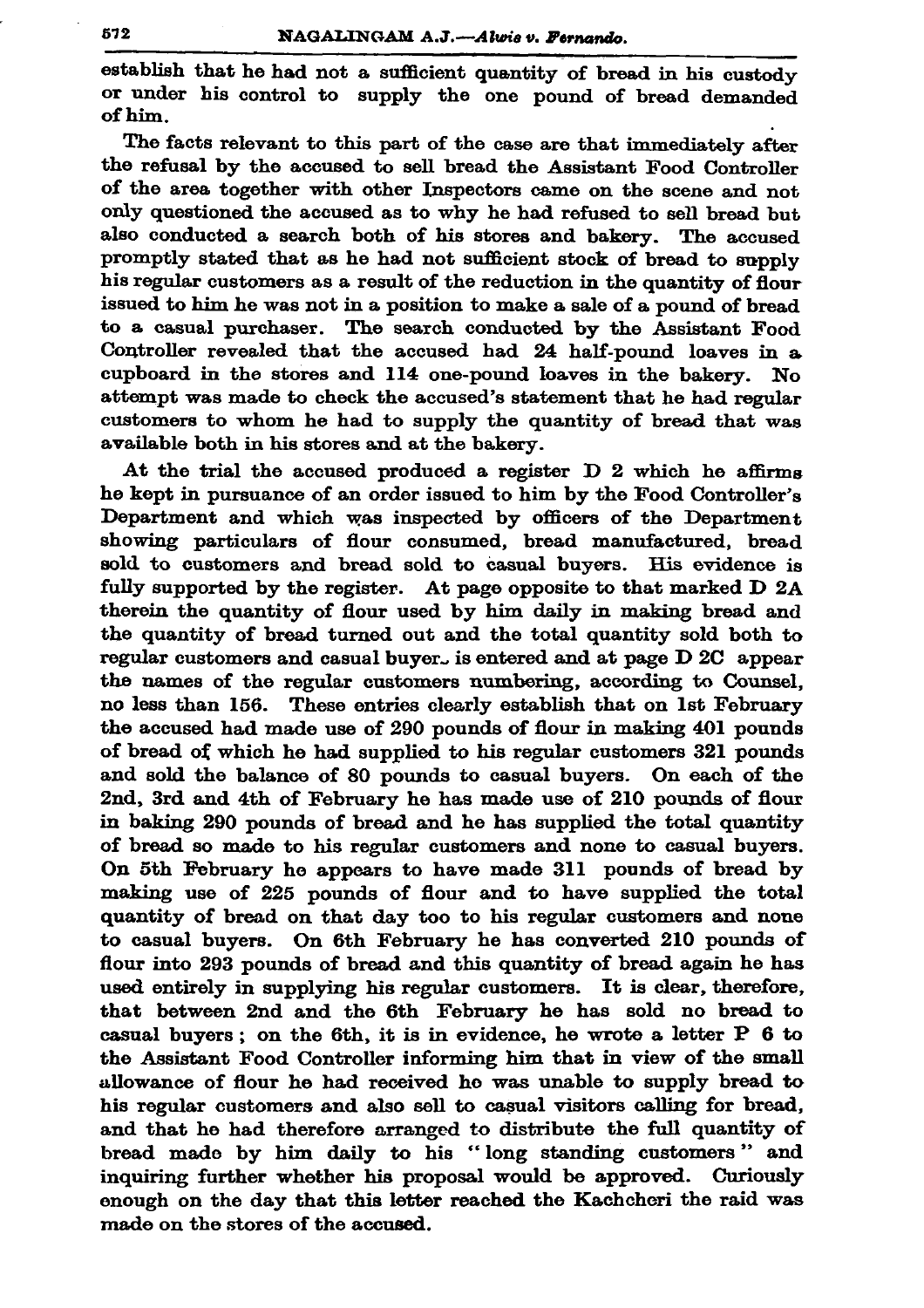establish that he had not a sufficient quantity of bread in his custody or under his control to supply the one pound of bread demanded of him.

The facts relevant to this part of the case are that immediately after the refusal by the accused to sell bread the Assistant Food Controller of the area together with other Inspectors came on the scene and not only questioned the accused as to why he had refused to sell bread but also conducted a search both of his stores and bakery. The accused promptly stated that as he had not sufficient stock of bread to supply his regular customers as a result of the reduction in the quantity of flour issued to him he was not in a position to make a sale of a pound of bread to a casual purchaser. The search conducted by the Assistant Food Controller revealed that the accused had 24 half-pound loaves in a cupboard in the stores and 114 one-pound loaves in the bakery. No attempt was made to check the accused's statement that he had regular customers to whom he had to supply the quantity of bread that was available both in his stores and at the bakery.

At the trial the accused produced a register D 2 which he affirms he kept in pursuance of an order issued to him by the Food Controller's Department and which was inspected by officers of the Department showing particulars of flour consumed, bread manufactured, bread sold to customers and bread sold to casual buyers. His evidence is fully supported by the register. At page opposite to that marked D 2A therein the quantity of flour used by him daily in making bread and the quantity of bread turned out and the total quantity sold both to regular customers and casual buyer. is entered and at page D 2C appear the names of the regular customers numbering, according to Counsel, no less than 156. These entries clearly establish that on 1st February the accused had made use of 290 pounds of flour in making 401 pounds of bread of which he had supplied to his regular customers 321 pounds and sold the balance of 80 pounds to casual buyers. On each of the 2nd, 3rd and 4th of February he has made use of 210 pounds of flour in baking 290 pounds of bread and he has supplied the total quantity of bread so made to his regular customers and none to casual buyers. On 5th February he appears to have made 311 pounds of bread by making use of 225 pounds of flour and to have supplied the total quantity of bread on that day too to his regular customers and none to casual buyers. On 6th February he has converted 210 pounds of flour into 293 pounds of bread and this quantity of bread again he has used entirely in supplying his regular customers. It is clear, therefore, that between 2nd and the 6th February he has sold no bread to casual buyers; on the 6th, it is in evidence, he wrote a letter  $P$  6 to the Assistant Food Controller informing him that in view of the small allowance of flour he had received he was unable to supply bread to his regular customers and also sell to casual visitors calling for bread, and that he had therefore arranged to distribute the full quantity of bread made by him daily to his "long standing customers" and inquiring further whether his proposal would be approved. Curiously enough on the day that this letter reached the Kachcheri the raid was made on the stores of the accused.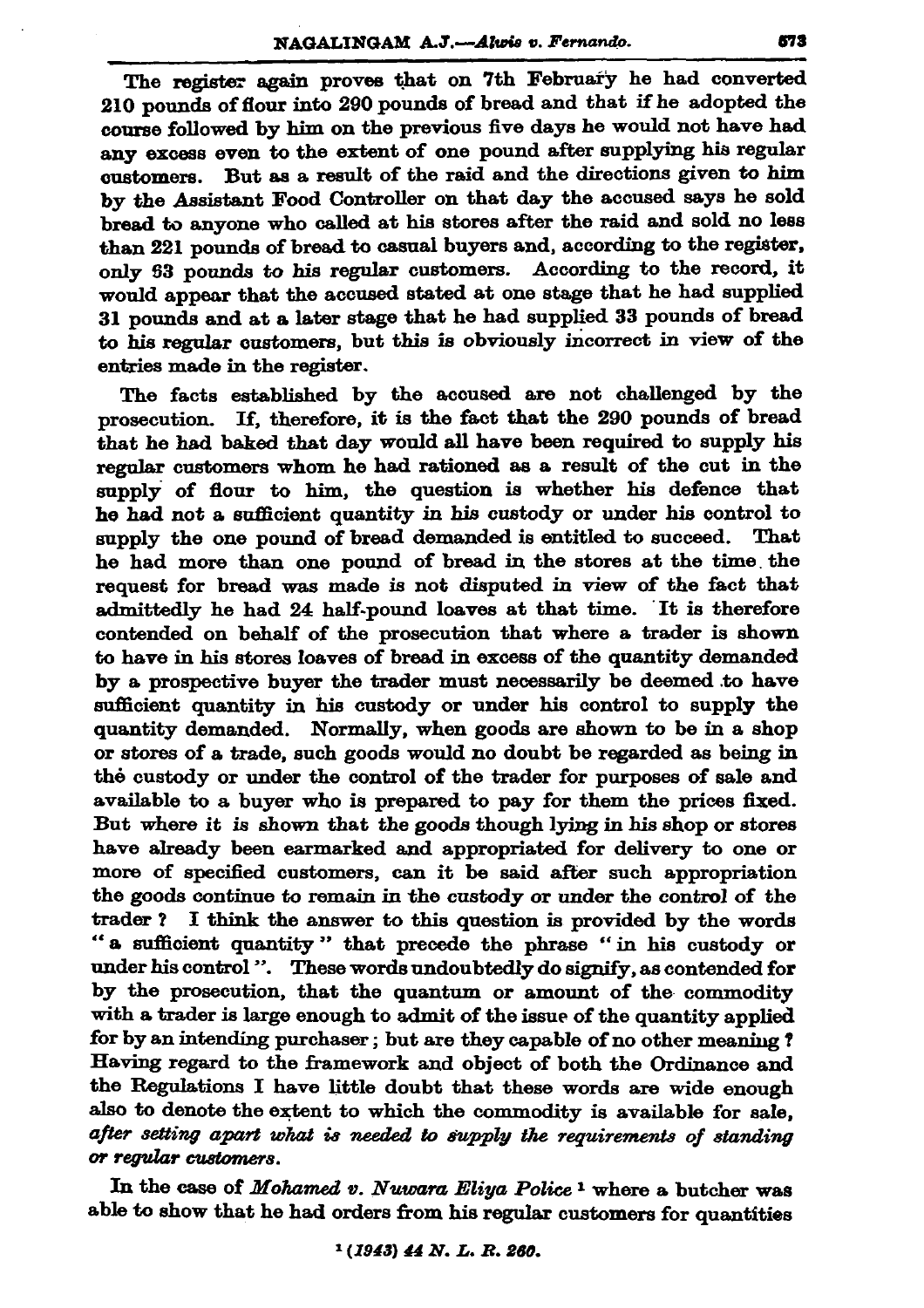The register again proves that on 7th February he had converted 210 pounds of flour into 290 pounds of bread and that if he adopted the course followed by him on the previous five days he would not have had any excess even to the extent of one pound after supplying his regular customers. But as a result of the raid and the directions given to him by the Assistant Food Controller on that day the accused says he sold bread to anyone who called at his stores after the raid and sold no less than 221 pounds of bread to casual buyers and, according to the register, only 53 pounds to his regular customers. According to the record. it would appear that the accused stated at one stage that he had supplied 31 pounds and at a later stage that he had supplied 33 pounds of bread to his regular customers, but this is obviously incorrect in view of the entries made in the register.

The facts established by the accused are not challenged by the prosecution. If, therefore, it is the fact that the 290 pounds of bread that he had baked that day would all have been required to supply his regular customers whom he had rationed as a result of the cut in the supply of flour to him, the question is whether his defence that he had not a sufficient quantity in his custody or under his control to supply the one pound of bread demanded is entitled to succeed. That he had more than one pound of bread in the stores at the time the request for bread was made is not disputed in view of the fact that admittedly he had 24 half-pound loaves at that time. It is therefore contended on behalf of the prosecution that where a trader is shown to have in his stores loaves of bread in excess of the quantity demanded by a prospective buyer the trader must necessarily be deemed to have sufficient quantity in his custody or under his control to supply the quantity demanded. Normally, when goods are shown to be in a shop or stores of a trade, such goods would no doubt be regarded as being in the custody or under the control of the trader for purposes of sale and available to a buyer who is prepared to pay for them the prices fixed. But where it is shown that the goods though lying in his shop or stores have already been earmarked and appropriated for delivery to one or more of specified customers, can it be said after such appropriation the goods continue to remain in the custody or under the control of the trader? I think the answer to this question is provided by the words "a sufficient quantity" that precede the phrase "in his custody or under his control ". These words undoubtedly do signify, as contended for by the prosecution, that the quantum or amount of the commodity with a trader is large enough to admit of the issue of the quantity applied for by an intending purchaser; but are they capable of no other meaning? Having regard to the framework and object of both the Ordinance and the Regulations I have little doubt that these words are wide enough also to denote the extent to which the commodity is available for sale, after setting apart what is needed to supply the requirements of standing or regular customers.

In the case of Mohamed v. Nuwara Eliya Police<sup>1</sup> where a butcher was able to show that he had orders from his regular customers for quantities